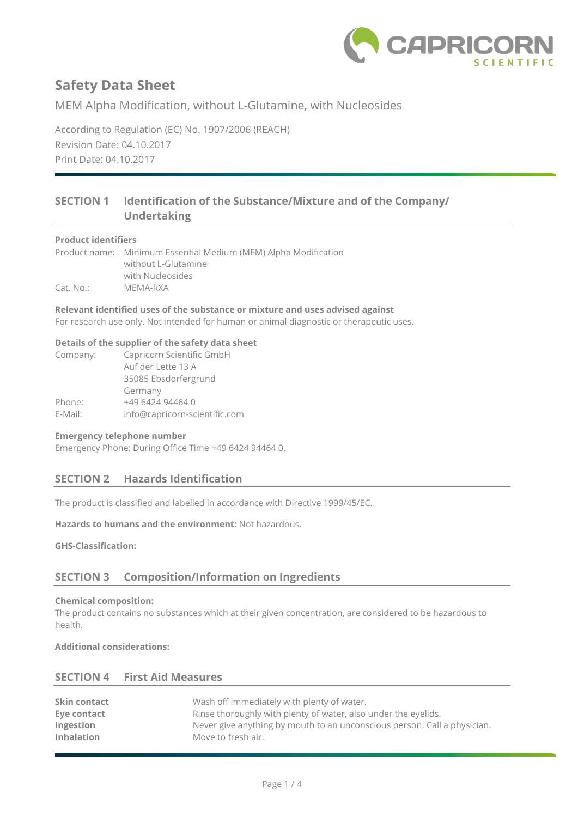

MEM Alpha Modification, without L-Glutamine, with Nucleosides

According to Regulation (EC) No. 1907/2006 (REACH) Revision Date: 04.10.2017 Print Date: 04.10.2017

# **SECTION 1 Identification of the Substance/Mixture and of the Company/ Undertaking**

#### **Product identifiers**

Product name: Minimum Essential Medium (MEM) Alpha Modification without L-Glutamine with Nucleosides Cat. No.: MEMA-RXA

**Relevant identified uses of the substance or mixture and uses advised against** For research use only. Not intended for human or animal diagnostic or therapeutic uses.

#### **Details of the supplier of the safety data sheet**

| Company: | Capricorn Scientific GmbH     |
|----------|-------------------------------|
|          | Auf der Lette 13 A            |
|          | 35085 Ebsdorfergrund          |
|          | Germany                       |
| Phone:   | +49 6424 94464 0              |
| E-Mail:  | info@capricorn-scientific.com |

### **Emergency telephone number**

Emergency Phone: During Office Time +49 6424 94464 0.

## **SECTION 2 Hazards Identification**

The product is classified and labelled in accordance with Directive 1999/45/EC.

**Hazards to humans and the environment:** Not hazardous.

**GHS-Classification:**

## **SECTION 3 Composition/Information on Ingredients**

#### **Chemical composition:**

The product contains no substances which at their given concentration, are considered to be hazardous to health.

**Additional considerations:**

### **SECTION 4 First Aid Measures**

| Wash off immediately with plenty of water.                               |
|--------------------------------------------------------------------------|
| Rinse thoroughly with plenty of water, also under the eyelids.           |
| Never give anything by mouth to an unconscious person. Call a physician. |
| Move to fresh air.                                                       |
|                                                                          |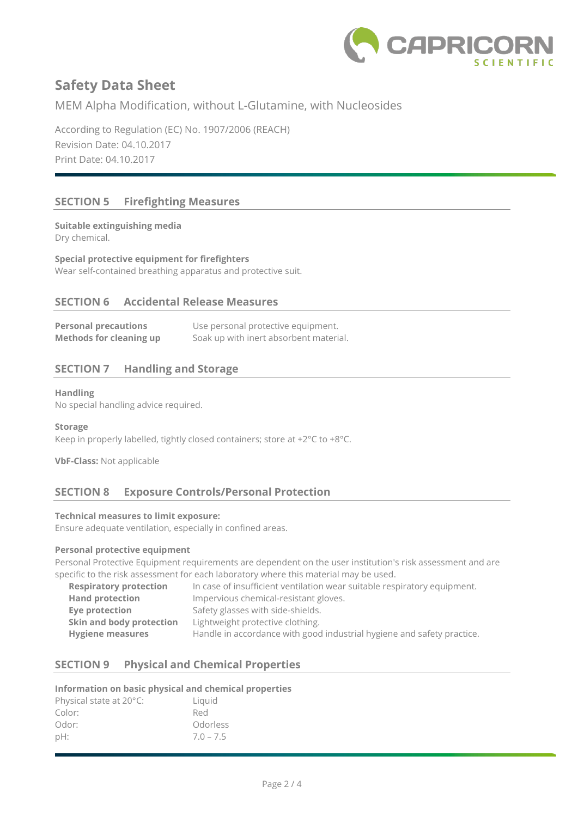

MEM Alpha Modification, without L-Glutamine, with Nucleosides

According to Regulation (EC) No. 1907/2006 (REACH) Revision Date: 04.10.2017 Print Date: 04.10.2017

# **SECTION 5 Firefighting Measures**

**Suitable extinguishing media** Dry chemical.

**Special protective equipment for firefighters** Wear self-contained breathing apparatus and protective suit.

## **SECTION 6 Accidental Release Measures**

| <b>Personal precautions</b>    | Use personal protective equipment.     |
|--------------------------------|----------------------------------------|
| <b>Methods for cleaning up</b> | Soak up with inert absorbent material. |

# **SECTION 7 Handling and Storage**

### **Handling**

No special handling advice required.

#### **Storage**

Keep in properly labelled, tightly closed containers; store at +2°C to +8°C.

**VbF-Class:** Not applicable

## **SECTION 8 Exposure Controls/Personal Protection**

#### **Technical measures to limit exposure:**

Ensure adequate ventilation, especially in confined areas.

## **Personal protective equipment**

Personal Protective Equipment requirements are dependent on the user institution's risk assessment and are specific to the risk assessment for each laboratory where this material may be used.

| <b>Respiratory protection</b> | In case of insufficient ventilation wear suitable respiratory equipment. |
|-------------------------------|--------------------------------------------------------------------------|
| <b>Hand protection</b>        | Impervious chemical-resistant gloves.                                    |
| Eye protection                | Safety glasses with side-shields.                                        |
| Skin and body protection      | Lightweight protective clothing.                                         |
| <b>Hygiene measures</b>       | Handle in accordance with good industrial hygiene and safety practice.   |

# **SECTION 9 Physical and Chemical Properties**

## **Information on basic physical and chemical properties**

| Physical state at 20°C: | Liguid      |
|-------------------------|-------------|
| Color:                  | Red         |
| Odor:                   | Odorless    |
| $pH$ :                  | $7.0 - 7.5$ |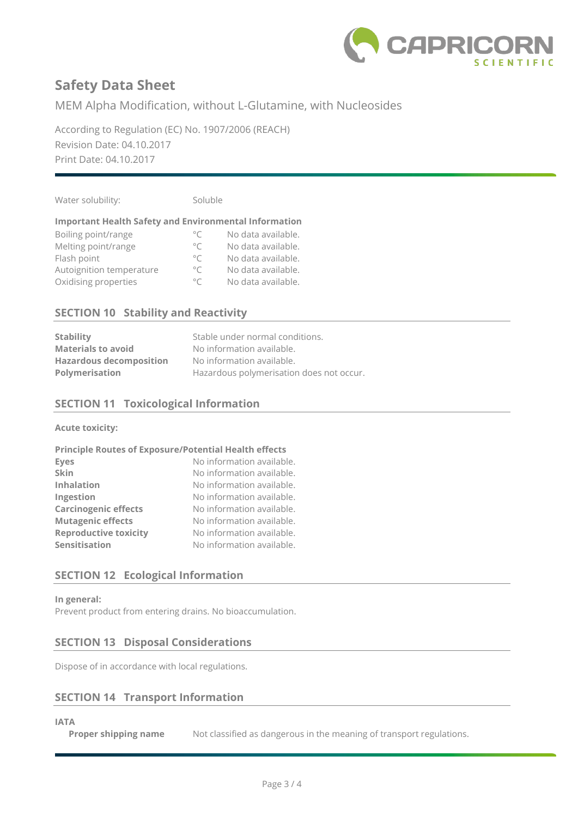

MEM Alpha Modification, without L-Glutamine, with Nucleosides

According to Regulation (EC) No. 1907/2006 (REACH) Revision Date: 04.10.2017 Print Date: 04.10.2017

Water solubility: Soluble

## **Important Health Safety and Environmental Information**

| Boiling point/range      | $\circ$ C    | No data available. |
|--------------------------|--------------|--------------------|
| Melting point/range      | $^{\circ}$ C | No data available. |
| Flash point              | $\circ$ C    | No data available. |
| Autoignition temperature | $\circ$ C    | No data available. |
| Oxidising properties     | $^{\circ}C$  | No data available. |

## **SECTION 10 Stability and Reactivity**

| <b>Stability</b>               | Stable under normal conditions.          |
|--------------------------------|------------------------------------------|
| <b>Materials to avoid</b>      | No information available.                |
| <b>Hazardous decomposition</b> | No information available.                |
| Polymerisation                 | Hazardous polymerisation does not occur. |

## **SECTION 11 Toxicological Information**

**Acute toxicity:**

| <b>Principle Routes of Exposure/Potential Health effects</b> |                           |
|--------------------------------------------------------------|---------------------------|
| <b>Eyes</b>                                                  | No information available. |
| Skin                                                         | No information available. |
| <b>Inhalation</b>                                            | No information available. |
| Ingestion                                                    | No information available. |
| <b>Carcinogenic effects</b>                                  | No information available. |
| <b>Mutagenic effects</b>                                     | No information available. |
| <b>Reproductive toxicity</b>                                 | No information available. |
| Sensitisation                                                | No information available. |

# **SECTION 12 Ecological Information**

**In general:**

Prevent product from entering drains. No bioaccumulation.

## **SECTION 13 Disposal Considerations**

Dispose of in accordance with local regulations.

## **SECTION 14 Transport Information**

### **IATA**

**Proper shipping name** Not classified as dangerous in the meaning of transport regulations.